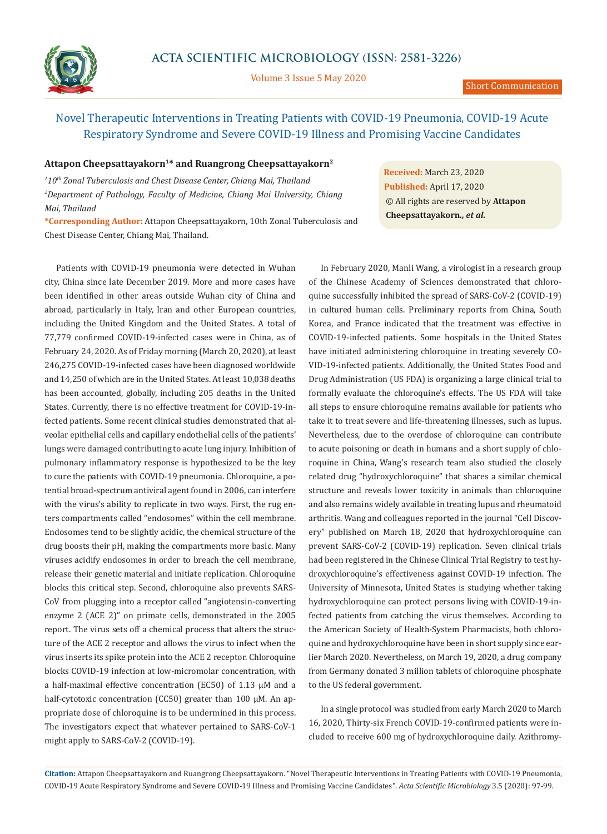

Volume 3 Issue 5 May 2020

## Attapon Cheepsattayakorn<sup>1\*</sup> and Ruangrong Cheepsattayakorn<sup>2</sup>

*1 10th Zonal Tuberculosis and Chest Disease Center, Chiang Mai, Thailand* <sup>2</sup> Department of Pathology, Faculty of Medicine, Chiang Mai University, Chiang *Mai, Thailand* 

**\*Corresponding Author:** Attapon Cheepsattayakorn, 10th Zonal Tuberculosis and Chest Disease Center, Chiang Mai, Thailand.

Patients with COVID-19 pneumonia were detected in Wuhan city, China since late December 2019. More and more cases have been identified in other areas outside Wuhan city of China and abroad, particularly in Italy, Iran and other European countries, including the United Kingdom and the United States. A total of 77,779 confirmed COVID-19-infected cases were in China, as of February 24, 2020. As of Friday morning (March 20, 2020), at least 246,275 COVID-19-infected cases have been diagnosed worldwide and 14,250 of which are in the United States. At least 10,038 deaths has been accounted, globally, including 205 deaths in the United States. Currently, there is no effective treatment for COVID-19-infected patients. Some recent clinical studies demonstrated that alveolar epithelial cells and capillary endothelial cells of the patients' lungs were damaged contributing to acute lung injury. Inhibition of pulmonary inflammatory response is hypothesized to be the key to cure the patients with COVID-19 pneumonia. Chloroquine, a potential broad-spectrum antiviral agent found in 2006, can interfere with the virus's ability to replicate in two ways. First, the rug enters compartments called "endosomes" within the cell membrane. Endosomes tend to be slightly acidic, the chemical structure of the drug boosts their pH, making the compartments more basic. Many viruses acidify endosomes in order to breach the cell membrane, release their genetic material and initiate replication. Chloroquine blocks this critical step. Second, chloroquine also prevents SARS-CoV from plugging into a receptor called "angiotensin-converting enzyme 2 (ACE 2)" on primate cells, demonstrated in the 2005 report. The virus sets off a chemical process that alters the structure of the ACE 2 receptor and allows the virus to infect when the virus inserts its spike protein into the ACE 2 receptor. Chloroquine blocks COVID-19 infection at low-micromolar concentration, with a half-maximal effective concentration (EC50) of 1.13 µM and a half-cytotoxic concentration (CC50) greater than 100 µM. An appropriate dose of chloroquine is to be undermined in this process. The investigators expect that whatever pertained to SARS-CoV-1 might apply to SARS-CoV-2 (COVID-19).

**Received:** March 23, 2020 **Published:** April 17, 2020 © All rights are reserved by **Attapon Cheepsattayakorn***., et al.*

In February 2020, Manli Wang, a virologist in a research group of the Chinese Academy of Sciences demonstrated that chloroquine successfully inhibited the spread of SARS-CoV-2 (COVID-19) in cultured human cells. Preliminary reports from China, South Korea, and France indicated that the treatment was effective in COVID-19-infected patients. Some hospitals in the United States have initiated administering chloroquine in treating severely CO-VID-19-infected patients. Additionally, the United States Food and Drug Administration (US FDA) is organizing a large clinical trial to formally evaluate the chloroquine's effects. The US FDA will take all steps to ensure chloroquine remains available for patients who take it to treat severe and life-threatening illnesses, such as lupus. Nevertheless, due to the overdose of chloroquine can contribute to acute poisoning or death in humans and a short supply of chloroquine in China, Wang's research team also studied the closely related drug "hydroxychloroquine" that shares a similar chemical structure and reveals lower toxicity in animals than chloroquine and also remains widely available in treating lupus and rheumatoid arthritis. Wang and colleagues reported in the journal "Cell Discovery" published on March 18, 2020 that hydroxychloroquine can prevent SARS-CoV-2 (COVID-19) replication. Seven clinical trials had been registered in the Chinese Clinical Trial Registry to test hydroxychloroquine's effectiveness against COVID-19 infection. The University of Minnesota, United States is studying whether taking hydroxychloroquine can protect persons living with COVID-19-infected patients from catching the virus themselves. According to the American Society of Health-System Pharmacists, both chloroquine and hydroxychloroquine have been in short supply since earlier March 2020. Nevertheless, on March 19, 2020, a drug company from Germany donated 3 million tablets of chloroquine phosphate to the US federal government.

In a single protocol was studied from early March 2020 to March 16, 2020, Thirty-six French COVID-19-confirmed patients were included to receive 600 mg of hydroxychloroquine daily. Azithromy-

**Citation:** Attapon Cheepsattayakorn and Ruangrong Cheepsattayakorn*.* "Novel Therapeutic Interventions in Treating Patients with COVID-19 Pneumonia, COVID-19 Acute Respiratory Syndrome and Severe COVID-19 Illness and Promising Vaccine Candidates". *Acta Scientific Microbiology* 3.5 (2020): 97-99.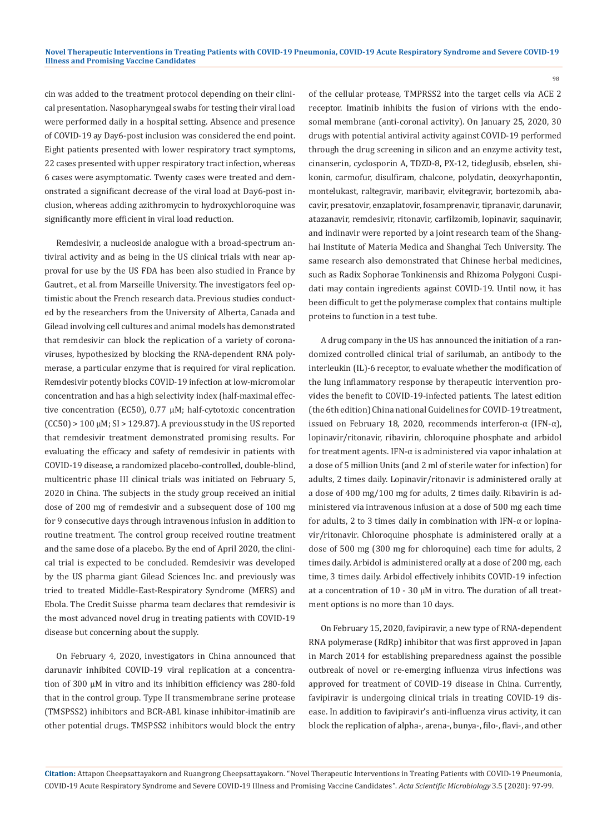cin was added to the treatment protocol depending on their clinical presentation. Nasopharyngeal swabs for testing their viral load were performed daily in a hospital setting. Absence and presence of COVID-19 ay Day6-post inclusion was considered the end point. Eight patients presented with lower respiratory tract symptoms, 22 cases presented with upper respiratory tract infection, whereas 6 cases were asymptomatic. Twenty cases were treated and demonstrated a significant decrease of the viral load at Day6-post inclusion, whereas adding azithromycin to hydroxychloroquine was significantly more efficient in viral load reduction.

Remdesivir, a nucleoside analogue with a broad-spectrum antiviral activity and as being in the US clinical trials with near approval for use by the US FDA has been also studied in France by Gautret., et al. from Marseille University. The investigators feel optimistic about the French research data. Previous studies conducted by the researchers from the University of Alberta, Canada and Gilead involving cell cultures and animal models has demonstrated that remdesivir can block the replication of a variety of coronaviruses, hypothesized by blocking the RNA-dependent RNA polymerase, a particular enzyme that is required for viral replication. Remdesivir potently blocks COVID-19 infection at low-micromolar concentration and has a high selectivity index (half-maximal effective concentration (EC50), 0.77 µM; half-cytotoxic concentration  $(CC50)$  > 100  $\mu$ M; SI > 129.87). A previous study in the US reported that remdesivir treatment demonstrated promising results. For evaluating the efficacy and safety of remdesivir in patients with COVID-19 disease, a randomized placebo-controlled, double-blind, multicentric phase III clinical trials was initiated on February 5, 2020 in China. The subjects in the study group received an initial dose of 200 mg of remdesivir and a subsequent dose of 100 mg for 9 consecutive days through intravenous infusion in addition to routine treatment. The control group received routine treatment and the same dose of a placebo. By the end of April 2020, the clinical trial is expected to be concluded. Remdesivir was developed by the US pharma giant Gilead Sciences Inc. and previously was tried to treated Middle-East-Respiratory Syndrome (MERS) and Ebola. The Credit Suisse pharma team declares that remdesivir is the most advanced novel drug in treating patients with COVID-19 disease but concerning about the supply.

On February 4, 2020, investigators in China announced that darunavir inhibited COVID-19 viral replication at a concentration of 300 µM in vitro and its inhibition efficiency was 280-fold that in the control group. Type II transmembrane serine protease (TMSPSS2) inhibitors and BCR-ABL kinase inhibitor-imatinib are other potential drugs. TMSPSS2 inhibitors would block the entry of the cellular protease, TMPRSS2 into the target cells via ACE 2 receptor. Imatinib inhibits the fusion of virions with the endosomal membrane (anti-coronal activity). On January 25, 2020, 30 drugs with potential antiviral activity against COVID-19 performed through the drug screening in silicon and an enzyme activity test, cinanserin, cyclosporin A, TDZD-8, PX-12, tideglusib, ebselen, shikonin, carmofur, disulfiram, chalcone, polydatin, deoxyrhapontin, montelukast, raltegravir, maribavir, elvitegravir, bortezomib, abacavir, presatovir, enzaplatovir, fosamprenavir, tipranavir, darunavir, atazanavir, remdesivir, ritonavir, carfilzomib, lopinavir, saquinavir, and indinavir were reported by a joint research team of the Shanghai Institute of Materia Medica and Shanghai Tech University. The same research also demonstrated that Chinese herbal medicines, such as Radix Sophorae Tonkinensis and Rhizoma Polygoni Cuspidati may contain ingredients against COVID-19. Until now, it has been difficult to get the polymerase complex that contains multiple proteins to function in a test tube.

98

A drug company in the US has announced the initiation of a randomized controlled clinical trial of sarilumab, an antibody to the interleukin (IL)-6 receptor, to evaluate whether the modification of the lung inflammatory response by therapeutic intervention provides the benefit to COVID-19-infected patients. The latest edition (the 6th edition) China national Guidelines for COVID-19 treatment, issued on February 18, 2020, recommends interferon-α (IFN-α), lopinavir/ritonavir, ribavirin, chloroquine phosphate and arbidol for treatment agents. IFN-α is administered via vapor inhalation at a dose of 5 million Units (and 2 ml of sterile water for infection) for adults, 2 times daily. Lopinavir/ritonavir is administered orally at a dose of 400 mg/100 mg for adults, 2 times daily. Ribavirin is administered via intravenous infusion at a dose of 500 mg each time for adults, 2 to 3 times daily in combination with IFN-α or lopinavir/ritonavir. Chloroquine phosphate is administered orally at a dose of 500 mg (300 mg for chloroquine) each time for adults, 2 times daily. Arbidol is administered orally at a dose of 200 mg, each time, 3 times daily. Arbidol effectively inhibits COVID-19 infection at a concentration of 10 - 30 µM in vitro. The duration of all treatment options is no more than 10 days.

On February 15, 2020, favipiravir, a new type of RNA-dependent RNA polymerase (RdRp) inhibitor that was first approved in Japan in March 2014 for establishing preparedness against the possible outbreak of novel or re-emerging influenza virus infections was approved for treatment of COVID-19 disease in China. Currently, favipiravir is undergoing clinical trials in treating COVID-19 disease. In addition to favipiravir's anti-influenza virus activity, it can block the replication of alpha-, arena-, bunya-, filo-, flavi-, and other

**Citation:** Attapon Cheepsattayakorn and Ruangrong Cheepsattayakorn*.* "Novel Therapeutic Interventions in Treating Patients with COVID-19 Pneumonia, COVID-19 Acute Respiratory Syndrome and Severe COVID-19 Illness and Promising Vaccine Candidates". *Acta Scientific Microbiology* 3.5 (2020): 97-99.